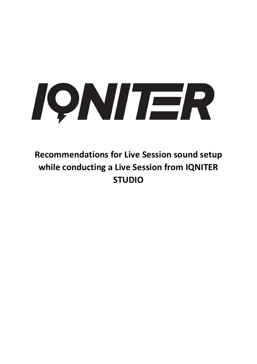

**Recommendations for Live Session sound setup while conducting a Live Session from IQNITER STUDIO**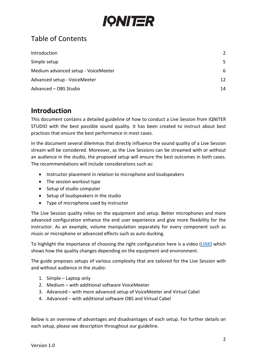

# Table of Contents

| Introduction                        | $\mathcal{L}$ |
|-------------------------------------|---------------|
| Simple setup                        | .5            |
| Medium advanced setup - VoiceMeeter | 6             |
| Advanced setup - VoiceMeeter        | 12            |
| Advanced - OBS Studio               | 14            |

# <span id="page-1-0"></span>**Introduction**

This document contains a detailed guideline of how to conduct a Live Session from IQNITER STUDIO with the best possible sound quality. It has been created to instruct about best practices that ensure the best performance in most cases.

In the document several dilemmas that directly influence the sound quality of a Live Session stream will be considered. Moreover, as the Live Sessions can be streamed with or without an audience in the studio, the proposed setup will ensure the best outcomes in both cases. The recommendations will include considerations such as:

- Instructor placement in relation to microphone and loudspeakers
- The session workout type
- Setup of studio computer
- Setup of loudspeakers in the studio
- Type of microphone used by instructor

The Live Session quality relies on the equipment and setup. Better microphones and more advanced configuration enhance the end user experience and give more flexibility for the instructor. As an example, volume manipulation separately for every component such as music or microphone or advanced effects such as auto ducking.

To highlight the importance of choosing the right configuration here is a video [\(LINK\)](https://youtu.be/Rtq7zxI8Obk) which shows how the quality changes depending on the equipment and environment.

The guide proposes setups of various complexity that are tailored for the Live Session with and without audience in the studio:

- 1. Simple Laptop only
- 2. Medium with additional software VoiceMeeter
- 3. Advanced with more advanced setup of VoiceMeeter and Virtual Cabel
- 4. Advanced with additional software OBS and Virtual Cabel

Below is an overview of advantages and disadvantages of each setup. For further details on each setup, please see description throughout our guideline.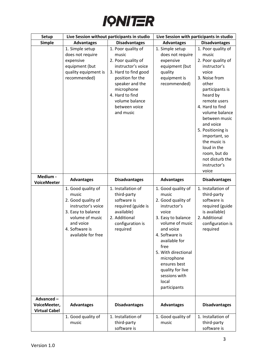

| <b>Setup</b>                                      | Live Session without participants in studio                                                                                                                           |                                                                                                                                                                                                                         | Live Session with participants in studio                                                                                                                                                                                                                                                       |                                                                                                                                                                                                                                                                                                                                                         |
|---------------------------------------------------|-----------------------------------------------------------------------------------------------------------------------------------------------------------------------|-------------------------------------------------------------------------------------------------------------------------------------------------------------------------------------------------------------------------|------------------------------------------------------------------------------------------------------------------------------------------------------------------------------------------------------------------------------------------------------------------------------------------------|---------------------------------------------------------------------------------------------------------------------------------------------------------------------------------------------------------------------------------------------------------------------------------------------------------------------------------------------------------|
| <b>Simple</b>                                     | <b>Advantages</b>                                                                                                                                                     | <b>Disadvantages</b>                                                                                                                                                                                                    | <b>Advantages</b>                                                                                                                                                                                                                                                                              | <b>Disadvantages</b>                                                                                                                                                                                                                                                                                                                                    |
|                                                   | 1. Simple setup<br>does not require<br>expensive<br>equipment (but<br>quality equipment is<br>recommended)                                                            | 1. Poor quality of<br>music<br>2. Poor quality of<br>instructor's voice<br>3. Hard to find good<br>position for the<br>speaker and the<br>microphone<br>4. Hard to find<br>volume balance<br>between voice<br>and music | 1. Simple setup<br>does not require<br>expensive<br>equipment (but<br>quality<br>equipment is<br>recommended)                                                                                                                                                                                  | 1. Poor quality of<br>music<br>2. Poor quality of<br>instructor's<br>voice<br>3. Noise from<br>other<br>participants is<br>heard by<br>remote users<br>4. Hard to find<br>volume balance<br>between music<br>and voice<br>5. Positioning is<br>important, so<br>the music is<br>loud in the<br>room, but do<br>not disturb the<br>instructor's<br>voice |
| Medium -<br><b>VoiceMeeter</b>                    | <b>Advantages</b>                                                                                                                                                     | <b>Disadvantages</b>                                                                                                                                                                                                    | <b>Advantages</b>                                                                                                                                                                                                                                                                              | <b>Disadvantages</b>                                                                                                                                                                                                                                                                                                                                    |
|                                                   | 1. Good quality of<br>music<br>2. Good quality of<br>instructor's voice<br>3. Easy to balance<br>volume of music<br>and voice<br>4. Software is<br>available for free | 1. Installation of<br>third-party<br>software is<br>required (guide is<br>available)<br>2. Additional<br>configuration is<br>required                                                                                   | 1. Good quality of<br>music<br>2. Good quality of<br>instructor's<br>voice<br>3. Easy to balance<br>volume of music<br>and voice<br>4. Software is<br>available for<br>free<br>5. With directional<br>microphone<br>ensures best<br>quality for live<br>sessions with<br>local<br>participants | 1. Installation of<br>third-party<br>software is<br>required (guide<br>is available)<br>2. Additional<br>configuration is<br>required                                                                                                                                                                                                                   |
| Advanced-<br>VoiceMeeter,<br><b>Virtual Cabel</b> | <b>Advantages</b>                                                                                                                                                     | <b>Disadvantages</b>                                                                                                                                                                                                    | <b>Advantages</b>                                                                                                                                                                                                                                                                              | <b>Disadvantages</b>                                                                                                                                                                                                                                                                                                                                    |
|                                                   | 1. Good quality of<br>music                                                                                                                                           | 1. Installation of<br>third-party<br>software is                                                                                                                                                                        | 1. Good quality of<br>music                                                                                                                                                                                                                                                                    | 1. Installation of<br>third-party<br>software is                                                                                                                                                                                                                                                                                                        |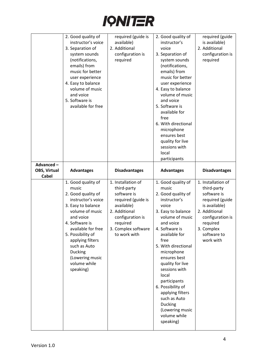

|                                  | 2. Good quality of<br>instructor's voice<br>3. Separation of<br>system sounds<br>(notifications,<br>emails) from<br>music for better<br>user experience<br>4. Easy to balance<br>volume of music<br>and voice<br>5. Software is<br>available for free                                     | required (guide is<br>available)<br>2. Additional<br>configuration is<br>required                                                                                            | 2. Good quality of<br>instructor's<br>voice<br>3. Separation of<br>system sounds<br>(notifications,<br>emails) from<br>music for better<br>user experience<br>4. Easy to balance<br>volume of music<br>and voice<br>5. Software is<br>available for<br>free<br>6. With directional<br>microphone<br>ensures best<br>quality for live<br>sessions with<br>local<br>participants                                     | required (guide<br>is available)<br>2. Additional<br>configuration is<br>required                                                                                               |
|----------------------------------|-------------------------------------------------------------------------------------------------------------------------------------------------------------------------------------------------------------------------------------------------------------------------------------------|------------------------------------------------------------------------------------------------------------------------------------------------------------------------------|--------------------------------------------------------------------------------------------------------------------------------------------------------------------------------------------------------------------------------------------------------------------------------------------------------------------------------------------------------------------------------------------------------------------|---------------------------------------------------------------------------------------------------------------------------------------------------------------------------------|
| Advanced-<br><b>OBS, Virtual</b> | <b>Advantages</b>                                                                                                                                                                                                                                                                         | <b>Disadvantages</b>                                                                                                                                                         | <b>Advantages</b>                                                                                                                                                                                                                                                                                                                                                                                                  | <b>Disadvantages</b>                                                                                                                                                            |
| <b>Cabel</b>                     |                                                                                                                                                                                                                                                                                           |                                                                                                                                                                              |                                                                                                                                                                                                                                                                                                                                                                                                                    |                                                                                                                                                                                 |
|                                  | 1. Good quality of<br>music<br>2. Good quality of<br>instructor's voice<br>3. Easy to balance<br>volume of music<br>and voice<br>4. Software is<br>available for free<br>5. Possibility of<br>applying filters<br>such as Auto<br>Ducking<br>(Lowering music<br>volume while<br>speaking) | 1. Installation of<br>third-party<br>software is<br>required (guide is<br>available)<br>2. Additional<br>configuration is<br>required<br>3. Complex software<br>to work with | 1. Good quality of<br>music<br>2. Good quality of<br>instructor's<br>voice<br>3. Easy to balance<br>volume of music<br>and voice<br>4. Software is<br>available for<br>free<br>5. With directional<br>microphone<br>ensures best<br>quality for live<br>sessions with<br>local<br>participants<br>6. Possibility of<br>applying filters<br>such as Auto<br>Ducking<br>(Lowering music<br>volume while<br>speaking) | 1. Installation of<br>third-party<br>software is<br>required (guide<br>is available)<br>2. Additional<br>configuration is<br>required<br>3. Complex<br>software to<br>work with |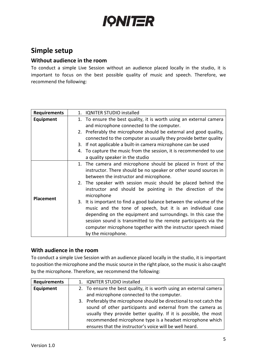

# <span id="page-4-0"></span>**Simple setup**

#### **Without audience in the room**

To conduct a simple Live Session without an audience placed locally in the studio, it is important to focus on the best possible quality of music and speech. Therefore, we recommend the following:

| <b>Requirements</b> | <b>IQNITER STUDIO installed</b><br>1.                                     |  |  |
|---------------------|---------------------------------------------------------------------------|--|--|
| Equipment           | 1. To ensure the best quality, it is worth using an external camera       |  |  |
|                     | and microphone connected to the computer.                                 |  |  |
|                     | 2. Preferably the microphone should be external and good quality,         |  |  |
|                     | connected to the computer as usually they provide better quality          |  |  |
|                     | 3. If not applicable a built-in camera microphone can be used             |  |  |
|                     | 4. To capture the music from the session, it is recommended to use        |  |  |
|                     | a quality speaker in the studio                                           |  |  |
|                     | The camera and microphone should be placed in front of the<br>$1_{\cdot}$ |  |  |
|                     | instructor. There should be no speaker or other sound sources in          |  |  |
|                     | between the instructor and microphone.                                    |  |  |
|                     | 2. The speaker with session music should be placed behind the             |  |  |
|                     | instructor and should be pointing in the direction of the                 |  |  |
| <b>Placement</b>    | microphone                                                                |  |  |
|                     | 3. It is important to find a good balance between the volume of the       |  |  |
|                     | music and the tone of speech, but it is an individual case                |  |  |
|                     | depending on the equipment and surroundings. In this case the             |  |  |
|                     | session sound is transmitted to the remote participants via the           |  |  |
|                     | computer microphone together with the instructor speech mixed             |  |  |
|                     | by the microphone.                                                        |  |  |

### **With audience in the room**

To conduct a simple Live Session with an audience placed locally in the studio, it is important to position the microphone and the music source in the right place, so the music is also caught by the microphone. Therefore, we recommend the following:

| <b>Requirements</b> | 1. IQNITER STUDIO installed                                         |
|---------------------|---------------------------------------------------------------------|
| Equipment           | 2. To ensure the best quality, it is worth using an external camera |
|                     | and microphone connected to the computer.                           |
|                     | 3. Preferably the microphone should be directional to not catch the |
|                     | sound of other participants and external from the camera as         |
|                     | usually they provide better quality. If it is possible, the most    |
|                     | recommended microphone type is a headset microphone which           |
|                     | ensures that the instructor's voice will be well heard.             |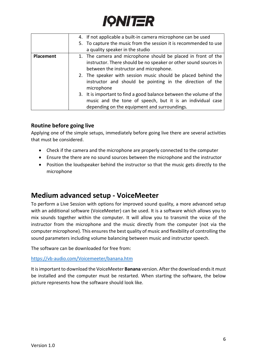

|           | 4. If not applicable a built-in camera microphone can be used       |
|-----------|---------------------------------------------------------------------|
|           | 5. To capture the music from the session it is recommended to use   |
|           | a quality speaker in the studio                                     |
| Placement | 1. The camera and microphone should be placed in front of the       |
|           | instructor. There should be no speaker or other sound sources in    |
|           | between the instructor and microphone.                              |
|           | 2. The speaker with session music should be placed behind the       |
|           | instructor and should be pointing in the direction of the           |
|           | microphone                                                          |
|           | 3. It is important to find a good balance between the volume of the |
|           | music and the tone of speech, but it is an individual case          |
|           | depending on the equipment and surroundings.                        |

## **Routine before going live**

Applying one of the simple setups, immediately before going live there are several activities that must be considered.

- Check if the camera and the microphone are properly connected to the computer
- Ensure the there are no sound sources between the microphone and the instructor
- Position the loudspeaker behind the instructor so that the music gets directly to the microphone

## <span id="page-5-0"></span>**Medium advanced setup - VoiceMeeter**

To perform a Live Session with options for improved sound quality, a more advanced setup with an additional software (VoiceMeeter) can be used. It is a software which allows you to mix sounds together within the computer. It will allow you to transmit the voice of the instructor from the microphone and the music directly from the computer (not via the computer microphone). This ensures the best quality of music and flexibility of controlling the sound parameters including volume balancing between music and instructor speech.

The software can be downloaded for free from:

<https://vb-audio.com/Voicemeeter/banana.htm>

It is important to download the VoiceMeeter **Banana** version. After the download ends it must be installed and the computer must be restarted. When starting the software, the below picture represents how the software should look like.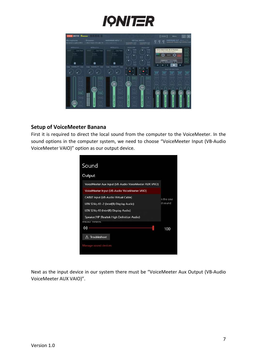



#### **Setup of VoiceMeeter Banana**

First it is required to direct the local sound from the computer to the VoiceMeeter. In the sound options in the computer system, we need to choose "VoiceMeeter Input (VB-Audio VoiceMeeter VAIO)" option as our output device.

| Sound                                                 |           |
|-------------------------------------------------------|-----------|
|                                                       |           |
| Output                                                |           |
| VoiceMeeter Aux Input (VB-Audio VoiceMeeter AUX VAIO) |           |
| VoiceMeeter Input (VB-Audio VoiceMeeter VAIO)         |           |
| CABLE Input (VB-Audio Virtual Cable)                  | n the one |
| LEN S24q-10 -2 (Intel(R) Display Audio)               | d sound   |
| LEN S24q-10 (Intel(R) Display Audio)                  |           |
| Speaker/HP (Realtek High Definition Audio)            |           |
| <b>ITIGULLI TUIGIIIL</b>                              |           |
| (い)                                                   | 100       |
| Troubleshoot<br>∧                                     |           |
| Manage sound devices                                  |           |
|                                                       |           |

Next as the input device in our system there must be "VoiceMeeter Aux Output (VB-Audio VoiceMeeter AUX VAIO)".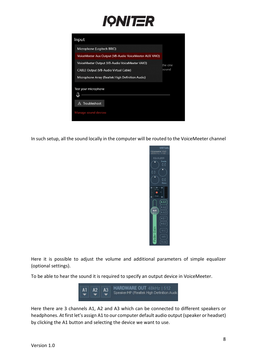

| Microphone (Logitech BRIO)                             |         |
|--------------------------------------------------------|---------|
| VoiceMeeter Aux Output (VB-Audio VoiceMeeter AUX VAIO) |         |
| VoiceMeeter Output (VB-Audio VoiceMeeter VAIO)         | the one |
| <b>CABLE Output (VB-Audio Virtual Cable)</b>           | sound   |
| Microphone Array (Realtek High Definition Audio)       |         |
| Test your microphone                                   |         |
| Troubleshoot<br>Λ                                      |         |
| Manage sound devices                                   |         |

In such setup, all the sound locally in the computer will be routed to the VoiceMeeter channel



Here it is possible to adjust the volume and additional parameters of simple equalizer (optional settings).

To be able to hear the sound it is required to specify an output device in VoiceMeeter.



Here there are 3 channels A1, A2 and A3 which can be connected to different speakers or headphones. At first let's assign A1 to our computer default audio output (speaker or headset) by clicking the A1 button and selecting the device we want to use.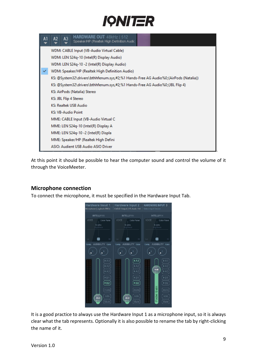

| A1 | HARDWARE OUT 48kHz   512<br>A <sub>3</sub><br>A2<br>Speaker/HP (Realtek High Definition Audic |  |  |  |  |
|----|-----------------------------------------------------------------------------------------------|--|--|--|--|
|    | WDM: CABLE Input (VB-Audio Virtual Cable)                                                     |  |  |  |  |
|    | WDM: LEN S24q-10 (Intel(R) Display Audio)                                                     |  |  |  |  |
|    | WDM: LEN S24q-10 -2 (Intel(R) Display Audio)                                                  |  |  |  |  |
|    | WDM: Speaker/HP (Realtek High Definition Audio)                                               |  |  |  |  |
|    | KS: @System32\drivers\bthhfenum.sys,#2;%1 Hands-Free AG Audio%0;(AirPods (Natalia))           |  |  |  |  |
|    | KS: @System32\drivers\bthhfenum.sys,#2;%1 Hands-Free AG Audio%0;(JBL Flip 4)                  |  |  |  |  |
|    | KS: AirPods (Natalia) Stereo                                                                  |  |  |  |  |
|    | KS: JBL Flip 4 Stereo                                                                         |  |  |  |  |
|    | KS: Realtek USB Audio                                                                         |  |  |  |  |
|    | <b>KS: VB-Audio Point</b>                                                                     |  |  |  |  |
|    | MME: CABLE Input (VB-Audio Virtual C                                                          |  |  |  |  |
|    | MME: LEN S24q-10 (Intel(R) Display A                                                          |  |  |  |  |
|    | MME: LEN S24q-10 -2 (Intel(R) Displa                                                          |  |  |  |  |
|    | MME: Speaker/HP (Realtek High Defini                                                          |  |  |  |  |
|    | ASIO: Audient USB Audio ASIO Driver                                                           |  |  |  |  |

At this point it should be possible to hear the computer sound and control the volume of it through the VoiceMeeter.

### **Microphone connection**

To connect the microphone, it must be specified in the Hardware Input Tab.



It is a good practice to always use the Hardware Input 1 as a microphone input, so it is always clear what the tab represents. Optionally it is also possible to rename the tab by right-clicking the name of it.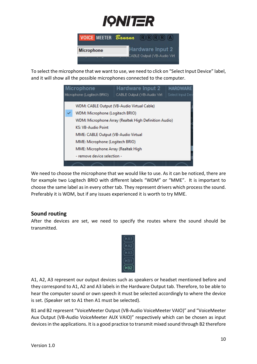

| <b>VOICE MEETER</b> Banana | $R(R)$ $R)$ $R)$ $A)$       |
|----------------------------|-----------------------------|
| Microphone                 | <b>Hardware Input 2</b>     |
|                            | CABLE Output (VB-Audio Virt |

To select the microphone that we want to use, we need to click on "Select Input Device" label, and it will show all the possible microphones connected to the computer.

|                                                                                | Hardware Input 2<br><b>Microphone</b>                 | <b>HARDWARE</b> |  |
|--------------------------------------------------------------------------------|-------------------------------------------------------|-----------------|--|
| Microphone (Logitech BRIO)<br>CABLE Output (VB-Audio Virt)<br>Select Input Dev |                                                       |                 |  |
|                                                                                |                                                       |                 |  |
|                                                                                | WDM: CABLE Output (VB-Audio Virtual Cable)            |                 |  |
|                                                                                | WDM: Microphone (Logitech BRIO)                       |                 |  |
|                                                                                | WDM: Microphone Array (Realtek High Definition Audio) |                 |  |
|                                                                                | <b>KS: VB-Audio Point</b>                             |                 |  |
|                                                                                | MME: CABLE Output (VB-Audio Virtual                   |                 |  |
|                                                                                | MME: Microphone (Logitech BRIO)                       |                 |  |
|                                                                                | MME: Microphone Array (Realtek High                   |                 |  |
| - remove device selection -                                                    |                                                       |                 |  |
|                                                                                |                                                       |                 |  |

We need to choose the microphone that we would like to use. As it can be noticed, there are for example two Logitech BRIO with different labels "WDM" or "MME". It is important to choose the same label as in every other tab. They represent drivers which process the sound. Preferably it is WDM, but if any issues experienced it is worth to try MME.

### **Sound routing**

After the devices are set, we need to specify the routes where the sound should be transmitted.



A1, A2, A3 represent our output devices such as speakers or headset mentioned before and they correspond to A1, A2 and A3 labels in the Hardware Output tab. Therefore, to be able to hear the computer sound or own speech it must be selected accordingly to where the device is set. (Speaker set to A1 then A1 must be selected).

B1 and B2 represent "VoiceMeeter Output (VB-Audio VoiceMeeter VAIO)" and "VoiceMeeter Aux Output (VB-Audio VoiceMeeter AUX VAIO)" respectively which can be chosen as input devices in the applications. It is a good practice to transmit mixed sound through B2 therefore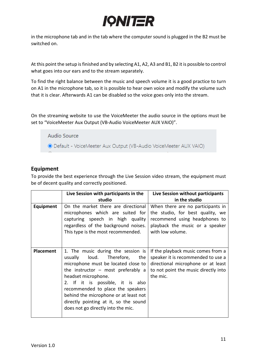

in the microphone tab and in the tab where the computer sound is plugged in the B2 must be switched on.

At this point the setup is finished and by selecting A1, A2, A3 and B1, B2 it is possible to control what goes into our ears and to the stream separately.

To find the right balance between the music and speech volume it is a good practice to turn on A1 in the microphone tab, so it is possible to hear own voice and modify the volume such that it is clear. Afterwards A1 can be disabled so the voice goes only into the stream.

On the streaming website to use the VoiceMeeter the audio source in the options must be set to "VoiceMeeter Aux Output (VB-Audio VoiceMeeter AUX VAIO)".

Audio Source

© Default - VoiceMeeter Aux Output (VB-Audio VoiceMeeter AUX VAIO)

## **Equipment**

To provide the best experience through the Live Session video stream, the equipment must be of decent quality and correctly positioned.

|                  | Live Session with participants in the                                                                                                                                                                                                                                                                                                                                     | Live Session without participants                                                                                                                                  |
|------------------|---------------------------------------------------------------------------------------------------------------------------------------------------------------------------------------------------------------------------------------------------------------------------------------------------------------------------------------------------------------------------|--------------------------------------------------------------------------------------------------------------------------------------------------------------------|
|                  | studio                                                                                                                                                                                                                                                                                                                                                                    | in the studio                                                                                                                                                      |
| <b>Equipment</b> | On the market there are directional<br>microphones which are suited for<br>capturing speech in high quality<br>regardless of the background noises.<br>This type is the most recommended.                                                                                                                                                                                 | When there are no participants in<br>the studio, for best quality, we<br>recommend using headphones to<br>playback the music or a speaker<br>with low volume.      |
| <b>Placement</b> | 1. The music during the session is<br>usually loud. Therefore, the<br>microphone must be located close to<br>the instructor $-$ most preferably a<br>headset microphone.<br>2. If it is possible, it is also<br>recommended to place the speakers<br>behind the microphone or at least not<br>directly pointing at it, so the sound<br>does not go directly into the mic. | If the playback music comes from a<br>speaker it is recommended to use a<br>directional microphone or at least<br>to not point the music directly into<br>the mic. |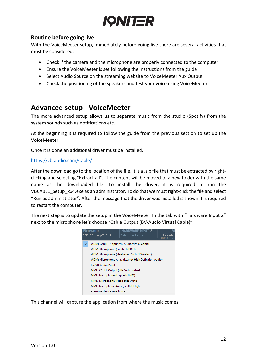

## **Routine before going live**

With the VoiceMeeter setup, immediately before going live there are several activities that must be considered.

- Check if the camera and the microphone are properly connected to the computer
- Ensure the VoiceMeeter is set following the instructions from the guide
- Select Audio Source on the streaming website to VoiceMeeter Aux Output
- Check the positioning of the speakers and test your voice using VoiceMeeter

## <span id="page-11-0"></span>**Advanced setup - VoiceMeeter**

The more advanced setup allows us to separate music from the studio (Spotify) from the system sounds such as notifications etc.

At the beginning it is required to follow the guide from the previous section to set up the VoiceMeeter.

Once it is done an additional driver must be installed.

#### <https://vb-audio.com/Cable/>

After the download go to the location of the file. It is a .zip file that must be extracted by rightclicking and selecting "Extract all". The content will be moved to a new folder with the same name as the downloaded file. To install the driver, it is required to run the VBCABLE Setup x64.exe as an administrator. To do that we must right-click the file and select "Run as administrator". After the message that the driver was installed is shown it is required to restart the computer.

The next step is to update the setup in the VoiceMeeter. In the tab with "Hardware Input 2" next to the microphone let's choose "Cable Output (BV-Audio Virtual Cable)"

| Browser<br>HARDWARE INPU<br>CABLE Output (VB-Audio Virt<br>Select Input Device | Voicemeeter<br>48000 Hz - |
|--------------------------------------------------------------------------------|---------------------------|
| WDM: CABLE Output (VB-Audio Virtual Cable)                                     |                           |
| WDM: Microphone (Logitech BRIO)                                                |                           |
| WDM: Microphone (SteelSeries Arctis 1 Wireless)                                |                           |
| WDM: Microphone Array (Realtek High Definition Audio)                          |                           |
| <b>KS: VB-Audio Point</b>                                                      |                           |
| MME: CABLE Output (VB-Audio Virtual                                            |                           |
| MME: Microphone (Logitech BRIO)                                                |                           |
| MME: Microphone (SteelSeries Arctis                                            |                           |
| MME: Microphone Array (Realtek High                                            |                           |
| - remove device selection -                                                    |                           |

This channel will capture the application from where the music comes.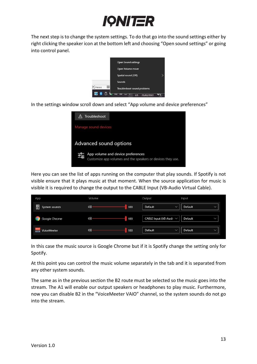

The next step is to change the system settings. To do that go into the sound settings either by right clicking the speaker icon at the bottom left and choosing "Open sound settings" or going into control panel.

|                     | Open Sound settings         |  |
|---------------------|-----------------------------|--|
|                     | Open Volume mixer           |  |
|                     | Spatial sound (Off)         |  |
|                     | Sounds                      |  |
| 丽<br>D, Focus       | Troubleshoot sound problems |  |
| $\circledast$<br>Ø. | 25/02/2022<br>US            |  |

In the settings window scroll down and select "App volume and device preferences"



Here you can see the list of apps running on the computer that play sounds. If Spotify is not visible ensure that it plays music at that moment. When the source application for music is visible it is required to change the output to the CABLE Input (VB-Audio Virtual Cable).

| App                          | Volume     | Output<br>Input                                        |
|------------------------------|------------|--------------------------------------------------------|
| ၜၙ<br>System sounds          | (小<br>100  | Default<br>Default<br>$\checkmark$<br>$\checkmark$     |
| Google Chrome                | (小)<br>100 | CABLE Input (VB-Audi $\vee$<br>Default<br>$\checkmark$ |
| VoiceMeeter<br><b>MEETER</b> | (1)<br>100 | Default<br>Default<br>$\checkmark$<br>$\checkmark$     |

In this case the music source is Google Chrome but if it is Spotify change the setting only for Spotify.

At this point you can control the music volume separately in the tab and it is separated from any other system sounds.

The same as in the previous section the B2 route must be selected so the music goes into the stream. The A1 will enable our output speakers or headphones to play music. Furthermore, now you can disable B2 in the "VoiceMeeter VAIO" channel, so the system sounds do not go into the stream.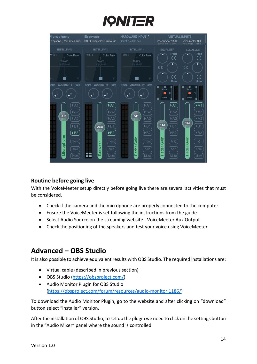



#### **Routine before going live**

With the VoiceMeeter setup directly before going live there are several activities that must be considered.

- Check if the camera and the microphone are properly connected to the computer
- Ensure the VoiceMeeter is set following the instructions from the guide
- Select Audio Source on the streaming website VoiceMeeter Aux Output
- Check the positioning of the speakers and test your voice using VoiceMeeter

## <span id="page-13-0"></span>**Advanced – OBS Studio**

It is also possible to achieve equivalent results with OBS Studio. The required installations are:

- Virtual cable (described in previous section)
- OBS Studio [\(https://obsproject.com/\)](https://obsproject.com/)
- Audio Monitor Plugin for OBS Studio [\(https://obsproject.com/forum/resources/audio-monitor.1186/\)](https://obsproject.com/forum/resources/audio-monitor.1186/)

To download the Audio Monitor Plugin, go to the website and after clicking on "download" button select "installer" version.

After the installation of OBS Studio, to set up the plugin we need to click on the settings button in the "Audio Mixer" panel where the sound is controlled.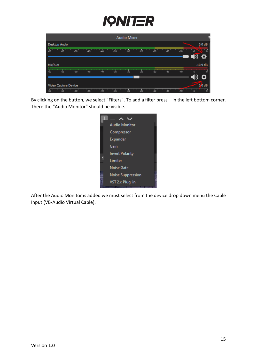

| <b>Audio Mixer</b>                                                |                                      |
|-------------------------------------------------------------------|--------------------------------------|
| Desktop Audio                                                     | 0.0 dB                               |
| $-30$<br>460<br>-50<br>-55<br>$-35$<br>$-40$<br>45                | $-10$<br>45<br>$-15$<br>-25<br>$-20$ |
|                                                                   |                                      |
| Mic/Aux                                                           | $-10.9$ dB                           |
| 460<br>-55<br>$-50$<br>$-30$<br>$-35$<br>45<br>40                 | $-10$<br>$-15$<br>45<br>-25<br>$-20$ |
|                                                                   |                                      |
| Video Capture Device                                              | 0.0 dB                               |
| $-30$<br>-50<br>$-35$<br><b>ARCHITECT</b><br>JAN.<br>$-40$<br>-45 | $-20$<br>$-25$<br>$-15$<br>-10       |

By clicking on the button, we select "Filters". To add a filter press + in the left bottom corner. There the "Audio Monitor" should be visible.



After the Audio Monitor is added we must select from the device drop down menu the Cable Input (VB-Audio Virtual Cable).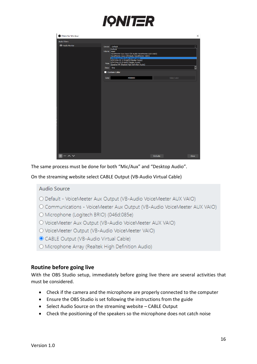

| Filters for 'Mic/Aux'      |                                                                                                                                                                                                                                                                                                                                                                           | $\times$                                                                                  |
|----------------------------|---------------------------------------------------------------------------------------------------------------------------------------------------------------------------------------------------------------------------------------------------------------------------------------------------------------------------------------------------------------------------|-------------------------------------------------------------------------------------------|
| <b>Audio Filters</b>       |                                                                                                                                                                                                                                                                                                                                                                           |                                                                                           |
| <sup>O</sup> Audio Monitor | Device Default<br>Default<br>Volume VBAN<br>VoiceMeeter Aux Input (VB-Audio VoiceMeeter AUX VAIO)<br>VoiceMeeter Input (VB-Audio VoiceMeeter VAIO)<br>CABLE Input (VB-Audio Virtual Cable)<br>LEN S24q-10 -2 (Intel(R) Display Audio)<br>Mute LEN S24q-10 (Intel(R) Display Audio)<br>Mute Speaker/HP (Realtek High Definition Audio)<br>Delay Oms<br><b>Custom Color</b> | $\hat{\phantom{a}}$<br>$\checkmark$<br>$\widehat{\phantom{a}}$<br>$\overline{\mathbf{v}}$ |
|                            | #000000<br>Color<br>Select color                                                                                                                                                                                                                                                                                                                                          |                                                                                           |
|                            |                                                                                                                                                                                                                                                                                                                                                                           |                                                                                           |
| $+- \wedge \vee$           | <b>Defaults</b>                                                                                                                                                                                                                                                                                                                                                           | Close                                                                                     |

The same process must be done for both "Mic/Aux" and "Desktop Audio".

On the streaming website select CABLE Output (VB-Audio Virtual Cable)

#### Audio Source

- O Default VoiceMeeter Aux Output (VB-Audio VoiceMeeter AUX VAIO)
- O Communications VoiceMeeter Aux Output (VB-Audio VoiceMeeter AUX VAIO)
- O Microphone (Logitech BRIO) (046d:085e)
- O VoiceMeeter Aux Output (VB-Audio VoiceMeeter AUX VAIO)
- O VoiceMeeter Output (VB-Audio VoiceMeeter VAIO)
- CABLE Output (VB-Audio Virtual Cable)
- O Microphone Array (Realtek High Definition Audio)

#### **Routine before going live**

With the OBS Studio setup, immediately before going live there are several activities that must be considered.

- Check if the camera and the microphone are properly connected to the computer
- Ensure the OBS Studio is set following the instructions from the guide
- Select Audio Source on the streaming website CABLE Output
- Check the positioning of the speakers so the microphone does not catch noise